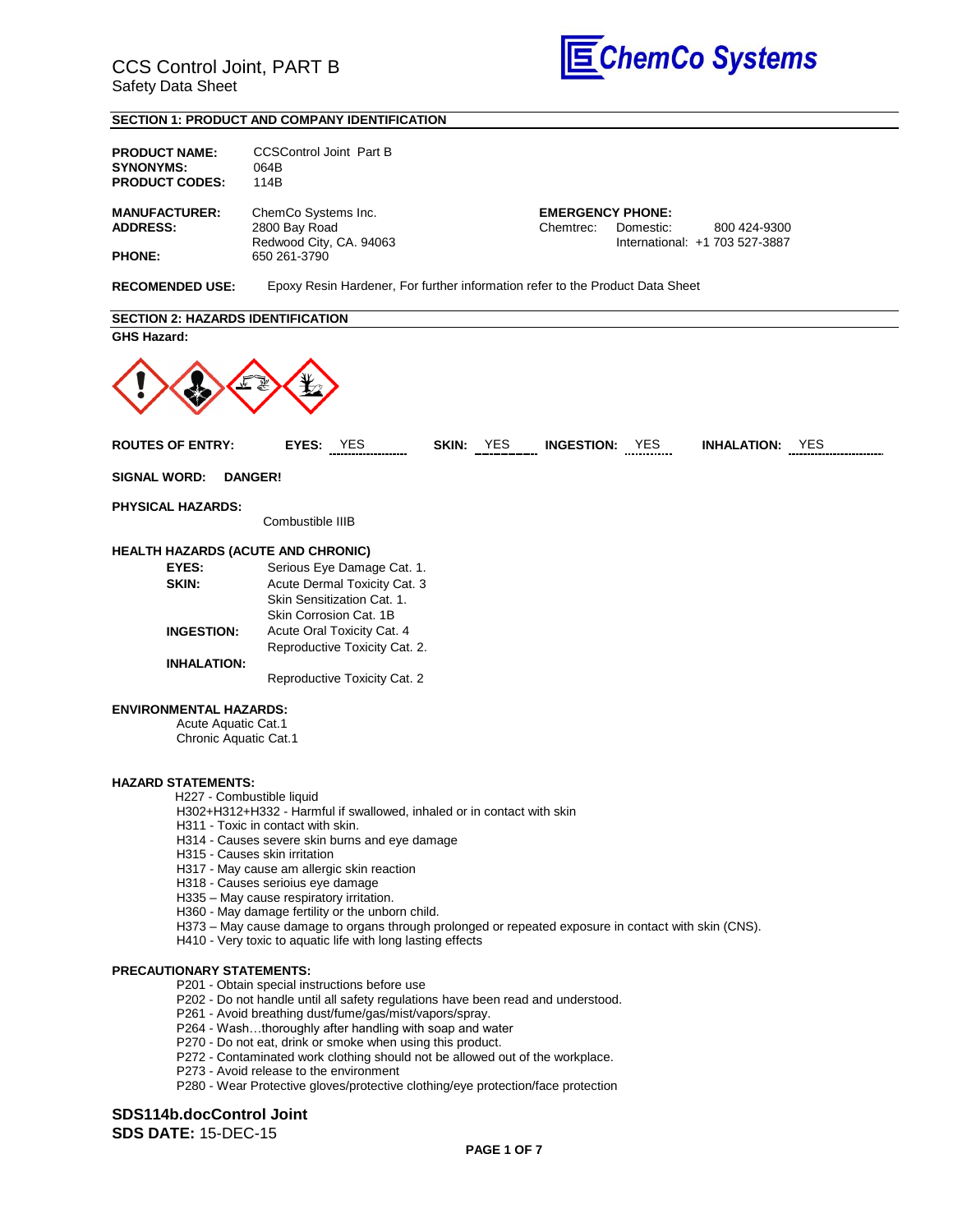

### **SECTION 1: PRODUCT AND COMPANY IDENTIFICATION**

| <b>PRODUCT NAME:</b><br><b>SYNONYMS:</b><br><b>PRODUCT CODES:</b>             | <b>CCSControl Joint Part B</b><br>064B<br>114B                                                                                                                                                                                                                                                                                                                                                                                                                                                                                                            |
|-------------------------------------------------------------------------------|-----------------------------------------------------------------------------------------------------------------------------------------------------------------------------------------------------------------------------------------------------------------------------------------------------------------------------------------------------------------------------------------------------------------------------------------------------------------------------------------------------------------------------------------------------------|
| <b>MANUFACTURER:</b><br><b>ADDRESS:</b>                                       | ChemCo Systems Inc.<br><b>EMERGENCY PHONE:</b><br>2800 Bay Road<br>Chemtrec:<br>Domestic:<br>800 424-9300                                                                                                                                                                                                                                                                                                                                                                                                                                                 |
| <b>PHONE:</b>                                                                 | Redwood City, CA. 94063<br>International: +1 703 527-3887<br>650 261-3790                                                                                                                                                                                                                                                                                                                                                                                                                                                                                 |
| <b>RECOMENDED USE:</b>                                                        | Epoxy Resin Hardener, For further information refer to the Product Data Sheet                                                                                                                                                                                                                                                                                                                                                                                                                                                                             |
| <b>SECTION 2: HAZARDS IDENTIFICATION</b>                                      |                                                                                                                                                                                                                                                                                                                                                                                                                                                                                                                                                           |
| <b>GHS Hazard:</b>                                                            |                                                                                                                                                                                                                                                                                                                                                                                                                                                                                                                                                           |
|                                                                               |                                                                                                                                                                                                                                                                                                                                                                                                                                                                                                                                                           |
| <b>ROUTES OF ENTRY:</b>                                                       | SKIN: YES INGESTION: YES<br>EYES: YES<br><b>INHALATION: YES</b>                                                                                                                                                                                                                                                                                                                                                                                                                                                                                           |
| <b>SIGNAL WORD:</b>                                                           | <b>DANGER!</b>                                                                                                                                                                                                                                                                                                                                                                                                                                                                                                                                            |
| <b>PHYSICAL HAZARDS:</b>                                                      | Combustible IIIB                                                                                                                                                                                                                                                                                                                                                                                                                                                                                                                                          |
| <b>HEALTH HAZARDS (ACUTE AND CHRONIC)</b>                                     |                                                                                                                                                                                                                                                                                                                                                                                                                                                                                                                                                           |
| EYES:                                                                         | Serious Eye Damage Cat. 1.                                                                                                                                                                                                                                                                                                                                                                                                                                                                                                                                |
| SKIN:                                                                         | Acute Dermal Toxicity Cat. 3<br>Skin Sensitization Cat. 1.                                                                                                                                                                                                                                                                                                                                                                                                                                                                                                |
| <b>INGESTION:</b>                                                             | Skin Corrosion Cat. 1B<br>Acute Oral Toxicity Cat. 4                                                                                                                                                                                                                                                                                                                                                                                                                                                                                                      |
| <b>INHALATION:</b>                                                            | Reproductive Toxicity Cat. 2.                                                                                                                                                                                                                                                                                                                                                                                                                                                                                                                             |
|                                                                               | Reproductive Toxicity Cat. 2                                                                                                                                                                                                                                                                                                                                                                                                                                                                                                                              |
| <b>ENVIRONMENTAL HAZARDS:</b><br>Acute Aquatic Cat.1<br>Chronic Aquatic Cat.1 |                                                                                                                                                                                                                                                                                                                                                                                                                                                                                                                                                           |
| <b>HAZARD STATEMENTS:</b><br>H227 - Combustible liquid                        | H302+H312+H332 - Harmful if swallowed, inhaled or in contact with skin<br>H311 - Toxic in contact with skin.<br>H314 - Causes severe skin burns and eye damage<br>H315 - Causes skin irritation<br>H317 - May cause am allergic skin reaction<br>H318 - Causes serioius eye damage<br>H335 - May cause respiratory irritation.<br>H360 - May damage fertility or the unborn child.<br>H373 - May cause damage to organs through prolonged or repeated exposure in contact with skin (CNS).<br>H410 - Very toxic to aquatic life with long lasting effects |
| <b>PRECAUTIONARY STATEMENTS:</b>                                              | P201 - Obtain special instructions before use<br>P202 - Do not handle until all safety regulations have been read and understood.<br>P261 - Avoid breathing dust/fume/gas/mist/vapors/spray.<br>P264 - Washthoroughly after handling with soap and water<br>P270 - Do not eat, drink or smoke when using this product.<br>P272 - Contaminated work clothing should not be allowed out of the workplace.<br>P273 - Avoid release to the environment                                                                                                        |

P280 - Wear Protective gloves/protective clothing/eye protection/face protection

### **SDS114b.docControl Joint SDS DATE:** 15-DEC-15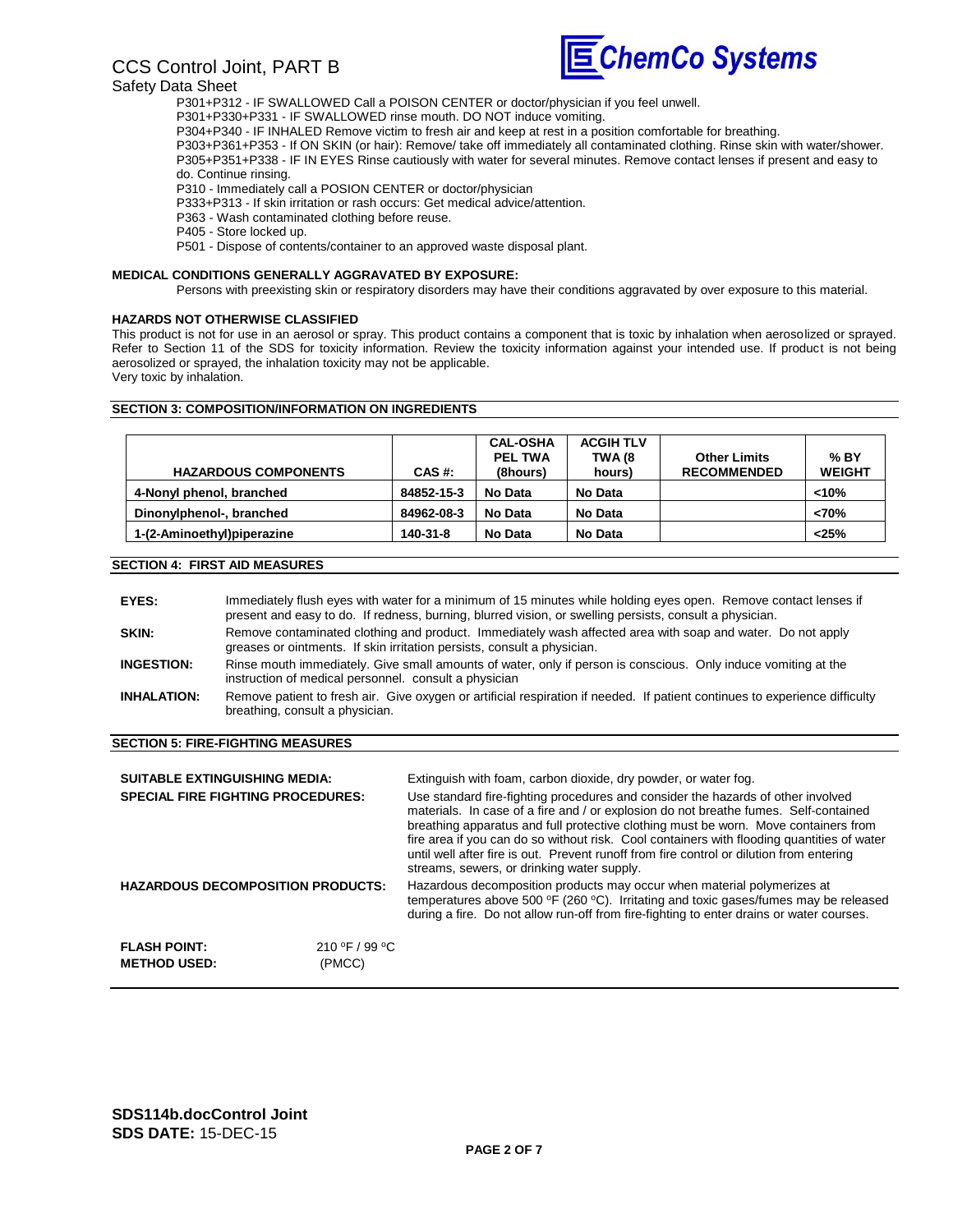# CCS Control Joint, PART B



#### Safety Data Sheet

P301+P312 - IF SWALLOWED Call a POISON CENTER or doctor/physician if you feel unwell.

P301+P330+P331 - IF SWALLOWED rinse mouth. DO NOT induce vomiting.

P304+P340 - IF INHALED Remove victim to fresh air and keep at rest in a position comfortable for breathing.

P303+P361+P353 - If ON SKIN (or hair): Remove/ take off immediately all contaminated clothing. Rinse skin with water/shower. P305+P351+P338 - IF IN EYES Rinse cautiously with water for several minutes. Remove contact lenses if present and easy to do. Continue rinsing.

P310 - Immediately call a POSION CENTER or doctor/physician

P333+P313 - If skin irritation or rash occurs: Get medical advice/attention.

P363 - Wash contaminated clothing before reuse.

P405 - Store locked up.

P501 - Dispose of contents/container to an approved waste disposal plant.

#### **MEDICAL CONDITIONS GENERALLY AGGRAVATED BY EXPOSURE:**

Persons with preexisting skin or respiratory disorders may have their conditions aggravated by over exposure to this material.

#### **HAZARDS NOT OTHERWISE CLASSIFIED**

This product is not for use in an aerosol or spray. This product contains a component that is toxic by inhalation when aerosolized or sprayed. Refer to Section 11 of the SDS for toxicity information. Review the toxicity information against your intended use. If product is not being aerosolized or sprayed, the inhalation toxicity may not be applicable. Very toxic by inhalation.

#### **SECTION 3: COMPOSITION/INFORMATION ON INGREDIENTS**

| <b>HAZARDOUS COMPONENTS</b> | CAS #:     | <b>CAL-OSHA</b><br><b>PEL TWA</b><br>(8hours) | <b>ACGIH TLV</b><br>TWA (8<br>hours) | <b>Other Limits</b><br><b>RECOMMENDED</b> | % BY<br><b>WEIGHT</b> |
|-----------------------------|------------|-----------------------------------------------|--------------------------------------|-------------------------------------------|-----------------------|
| 4-Nonyl phenol, branched    | 84852-15-3 | No Data                                       | No Data                              |                                           | < 10%                 |
| Dinonylphenol-, branched    | 84962-08-3 | No Data                                       | No Data                              |                                           | < 70%                 |
| 1-(2-Aminoethyl)piperazine  | 140-31-8   | No Data                                       | No Data                              |                                           | < 25%                 |

### **SECTION 4: FIRST AID MEASURES**

| EYES:              | Immediately flush eyes with water for a minimum of 15 minutes while holding eyes open. Remove contact lenses if<br>present and easy to do. If redness, burning, blurred vision, or swelling persists, consult a physician. |
|--------------------|----------------------------------------------------------------------------------------------------------------------------------------------------------------------------------------------------------------------------|
| <b>SKIN:</b>       | Remove contaminated clothing and product. Immediately wash affected area with soap and water. Do not apply<br>greases or ointments. If skin irritation persists, consult a physician.                                      |
| <b>INGESTION:</b>  | Rinse mouth immediately. Give small amounts of water, only if person is conscious. Only induce vomiting at the<br>instruction of medical personnel. consult a physician                                                    |
| <b>INHALATION:</b> | Remove patient to fresh air. Give oxygen or artificial respiration if needed. If patient continues to experience difficulty<br>breathing, consult a physician.                                                             |

#### **SECTION 5: FIRE-FIGHTING MEASURES**

| <b>SUITABLE EXTINGUISHING MEDIA:</b><br><b>SPECIAL FIRE FIGHTING PROCEDURES:</b> |                          | Extinguish with foam, carbon dioxide, dry powder, or water fog.<br>Use standard fire-fighting procedures and consider the hazards of other involved<br>materials. In case of a fire and / or explosion do not breathe fumes. Self-contained<br>breathing apparatus and full protective clothing must be worn. Move containers from<br>fire area if you can do so without risk. Cool containers with flooding quantities of water<br>until well after fire is out. Prevent runoff from fire control or dilution from entering<br>streams, sewers, or drinking water supply. |
|----------------------------------------------------------------------------------|--------------------------|----------------------------------------------------------------------------------------------------------------------------------------------------------------------------------------------------------------------------------------------------------------------------------------------------------------------------------------------------------------------------------------------------------------------------------------------------------------------------------------------------------------------------------------------------------------------------|
| <b>HAZARDOUS DECOMPOSITION PRODUCTS:</b>                                         |                          | Hazardous decomposition products may occur when material polymerizes at<br>temperatures above 500 °F (260 °C). Irritating and toxic gases/fumes may be released<br>during a fire. Do not allow run-off from fire-fighting to enter drains or water courses.                                                                                                                                                                                                                                                                                                                |
| <b>FLASH POINT:</b><br><b>METHOD USED:</b>                                       | 210 °F / 99 °C<br>(PMCC) |                                                                                                                                                                                                                                                                                                                                                                                                                                                                                                                                                                            |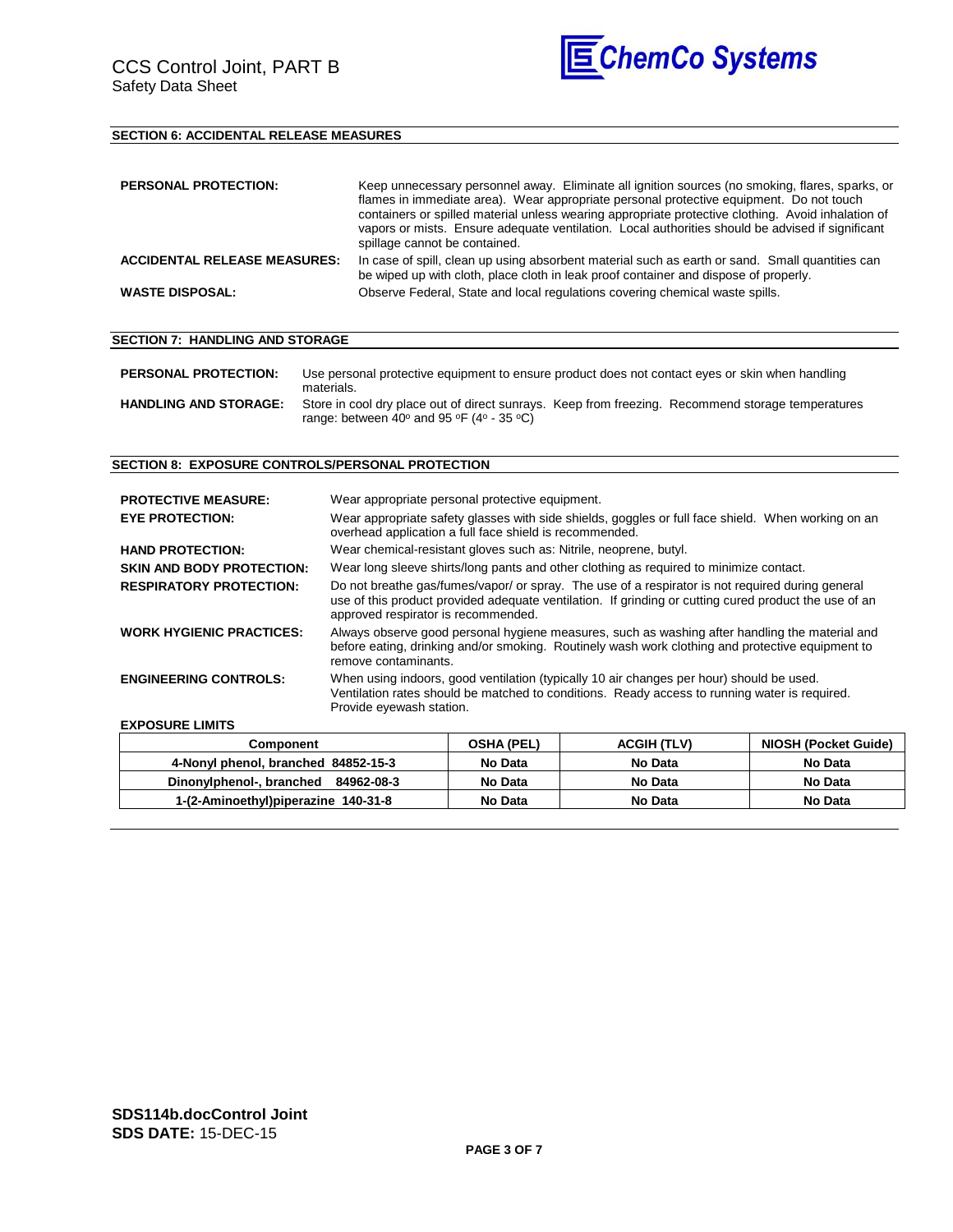

### **SECTION 6: ACCIDENTAL RELEASE MEASURES**

| <b>PERSONAL PROTECTION:</b>         | Keep unnecessary personnel away. Eliminate all ignition sources (no smoking, flares, sparks, or<br>flames in immediate area). Wear appropriate personal protective equipment. Do not touch<br>containers or spilled material unless wearing appropriate protective clothing. Avoid inhalation of<br>vapors or mists. Ensure adequate ventilation. Local authorities should be advised if significant<br>spillage cannot be contained. |
|-------------------------------------|---------------------------------------------------------------------------------------------------------------------------------------------------------------------------------------------------------------------------------------------------------------------------------------------------------------------------------------------------------------------------------------------------------------------------------------|
| <b>ACCIDENTAL RELEASE MEASURES:</b> | In case of spill, clean up using absorbent material such as earth or sand. Small quantities can<br>be wiped up with cloth, place cloth in leak proof container and dispose of properly.                                                                                                                                                                                                                                               |
| <b>WASTE DISPOSAL:</b>              | Observe Federal, State and local regulations covering chemical waste spills.                                                                                                                                                                                                                                                                                                                                                          |

#### **SECTION 7: HANDLING AND STORAGE**

| <b>PERSONAL PROTECTION:</b>  | Use personal protective equipment to ensure product does not contact eyes or skin when handling<br>materials.                                                                      |
|------------------------------|------------------------------------------------------------------------------------------------------------------------------------------------------------------------------------|
| <b>HANDLING AND STORAGE:</b> | Store in cool dry place out of direct sunrays. Keep from freezing. Recommend storage temperatures<br>range: between 40 $\degree$ and 95 $\degree$ F (4 $\degree$ - 35 $\degree$ C) |

#### **SECTION 8: EXPOSURE CONTROLS/PERSONAL PROTECTION**

| <b>PROTECTIVE MEASURE:</b><br><b>EYE PROTECTION:</b> | Wear appropriate personal protective equipment.<br>Wear appropriate safety glasses with side shields, goggles or full face shield. When working on an<br>overhead application a full face shield is recommended.                                 |
|------------------------------------------------------|--------------------------------------------------------------------------------------------------------------------------------------------------------------------------------------------------------------------------------------------------|
| <b>HAND PROTECTION:</b>                              | Wear chemical-resistant gloves such as: Nitrile, neoprene, butyl.                                                                                                                                                                                |
| <b>SKIN AND BODY PROTECTION:</b>                     | Wear long sleeve shirts/long pants and other clothing as required to minimize contact.                                                                                                                                                           |
| <b>RESPIRATORY PROTECTION:</b>                       | Do not breathe gas/fumes/vapor/ or spray. The use of a respirator is not required during general<br>use of this product provided adequate ventilation. If grinding or cutting cured product the use of an<br>approved respirator is recommended. |
| <b>WORK HYGIENIC PRACTICES:</b>                      | Always observe good personal hygiene measures, such as washing after handling the material and<br>before eating, drinking and/or smoking. Routinely wash work clothing and protective equipment to<br>remove contaminants.                       |
| <b>ENGINEERING CONTROLS:</b>                         | When using indoors, good ventilation (typically 10 air changes per hour) should be used.<br>Ventilation rates should be matched to conditions. Ready access to running water is required.<br>Provide eyewash station.                            |

#### **EXPOSURE LIMITS**

| Component                           | <b>OSHA (PEL)</b> | <b>ACGIH (TLV)</b> | NIOSH (Pocket Guide) |
|-------------------------------------|-------------------|--------------------|----------------------|
| 4-Nonyl phenol, branched 84852-15-3 | No Data           | No Data            | No Data              |
| Dinonylphenol-, branched 84962-08-3 | No Data           | No Data            | No Data              |
| 1-(2-Aminoethyl)piperazine 140-31-8 | No Data           | No Data            | No Data              |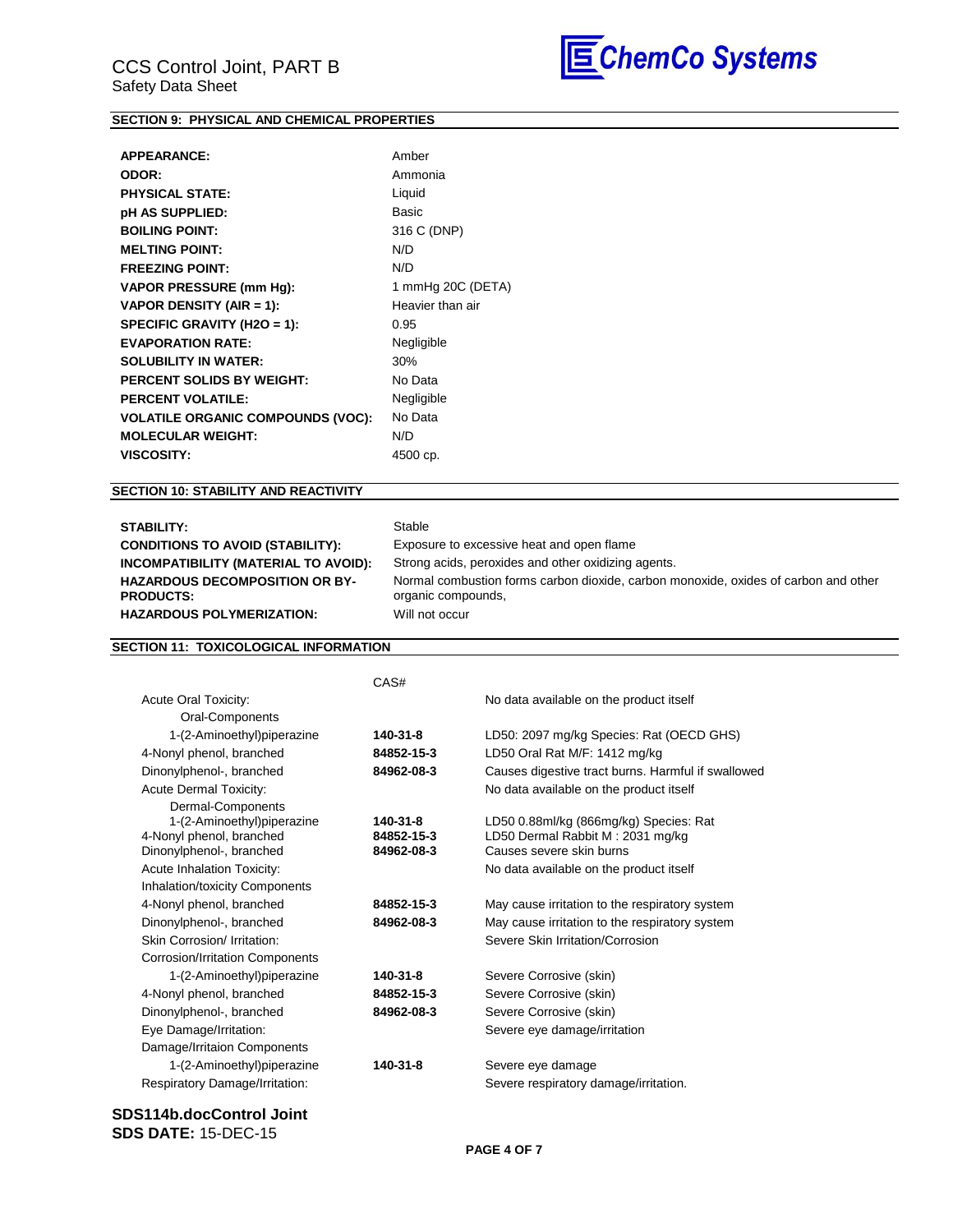

### **SECTION 9: PHYSICAL AND CHEMICAL PROPERTIES**

| <b>APPEARANCE:</b>                       | Amber             |
|------------------------------------------|-------------------|
| ODOR:                                    | Ammonia           |
| <b>PHYSICAL STATE:</b>                   | Liquid            |
| pH AS SUPPLIED:                          | Basic             |
| <b>BOILING POINT:</b>                    | 316 C (DNP)       |
| <b>MELTING POINT:</b>                    | N/D               |
| <b>FREEZING POINT:</b>                   | N/D               |
| <b>VAPOR PRESSURE (mm Hg):</b>           | 1 mmHg 20C (DETA) |
| VAPOR DENSITY (AIR = 1):                 | Heavier than air  |
| SPECIFIC GRAVITY (H2O = 1):              | 0.95              |
| <b>EVAPORATION RATE:</b>                 | Negligible        |
| <b>SOLUBILITY IN WATER:</b>              | 30%               |
| <b>PERCENT SOLIDS BY WEIGHT:</b>         | No Data           |
| <b>PERCENT VOLATILE:</b>                 | Negligible        |
| <b>VOLATILE ORGANIC COMPOUNDS (VOC):</b> | No Data           |
| <b>MOLECULAR WEIGHT:</b>                 | N/D               |
| <b>VISCOSITY:</b>                        | 4500 cp.          |
|                                          |                   |

### **SECTION 10: STABILITY AND REACTIVITY**

| <b>STABILITY:</b>                                         | Stable                                                                                                    |
|-----------------------------------------------------------|-----------------------------------------------------------------------------------------------------------|
| <b>CONDITIONS TO AVOID (STABILITY):</b>                   | Exposure to excessive heat and open flame                                                                 |
| INCOMPATIBILITY (MATERIAL TO AVOID):                      | Strong acids, peroxides and other oxidizing agents.                                                       |
| <b>HAZARDOUS DECOMPOSITION OR BY-</b><br><b>PRODUCTS:</b> | Normal combustion forms carbon dioxide, carbon monoxide, oxides of carbon and other<br>organic compounds, |
| <b>HAZARDOUS POLYMERIZATION:</b>                          | Will not occur                                                                                            |

### **SECTION 11: TOXICOLOGICAL INFORMATION**

|                                        | CAS#       |                                                    |
|----------------------------------------|------------|----------------------------------------------------|
| Acute Oral Toxicity:                   |            | No data available on the product itself            |
| Oral-Components                        |            |                                                    |
| 1-(2-Aminoethyl)piperazine             | 140-31-8   | LD50: 2097 mg/kg Species: Rat (OECD GHS)           |
| 4-Nonyl phenol, branched               | 84852-15-3 | LD50 Oral Rat M/F: 1412 mg/kg                      |
| Dinonylphenol-, branched               | 84962-08-3 | Causes digestive tract burns. Harmful if swallowed |
| <b>Acute Dermal Toxicity:</b>          |            | No data available on the product itself            |
| Dermal-Components                      |            |                                                    |
| 1-(2-Aminoethyl)piperazine             | 140-31-8   | LD50 0.88ml/kg (866mg/kg) Species: Rat             |
| 4-Nonyl phenol, branched               | 84852-15-3 | LD50 Dermal Rabbit M: 2031 mg/kg                   |
| Dinonylphenol-, branched               | 84962-08-3 | Causes severe skin burns                           |
| <b>Acute Inhalation Toxicity:</b>      |            | No data available on the product itself            |
| Inhalation/toxicity Components         |            |                                                    |
| 4-Nonyl phenol, branched               | 84852-15-3 | May cause irritation to the respiratory system     |
| Dinonylphenol-, branched               | 84962-08-3 | May cause irritation to the respiratory system     |
| Skin Corrosion/ Irritation:            |            | Severe Skin Irritation/Corrosion                   |
| <b>Corrosion/Irritation Components</b> |            |                                                    |
| 1-(2-Aminoethyl)piperazine             | 140-31-8   | Severe Corrosive (skin)                            |
| 4-Nonyl phenol, branched               | 84852-15-3 | Severe Corrosive (skin)                            |
| Dinonylphenol-, branched               | 84962-08-3 | Severe Corrosive (skin)                            |
| Eye Damage/Irritation:                 |            | Severe eye damage/irritation                       |
| Damage/Irritaion Components            |            |                                                    |
| 1-(2-Aminoethyl)piperazine             | 140-31-8   | Severe eye damage                                  |
| Respiratory Damage/Irritation:         |            | Severe respiratory damage/irritation.              |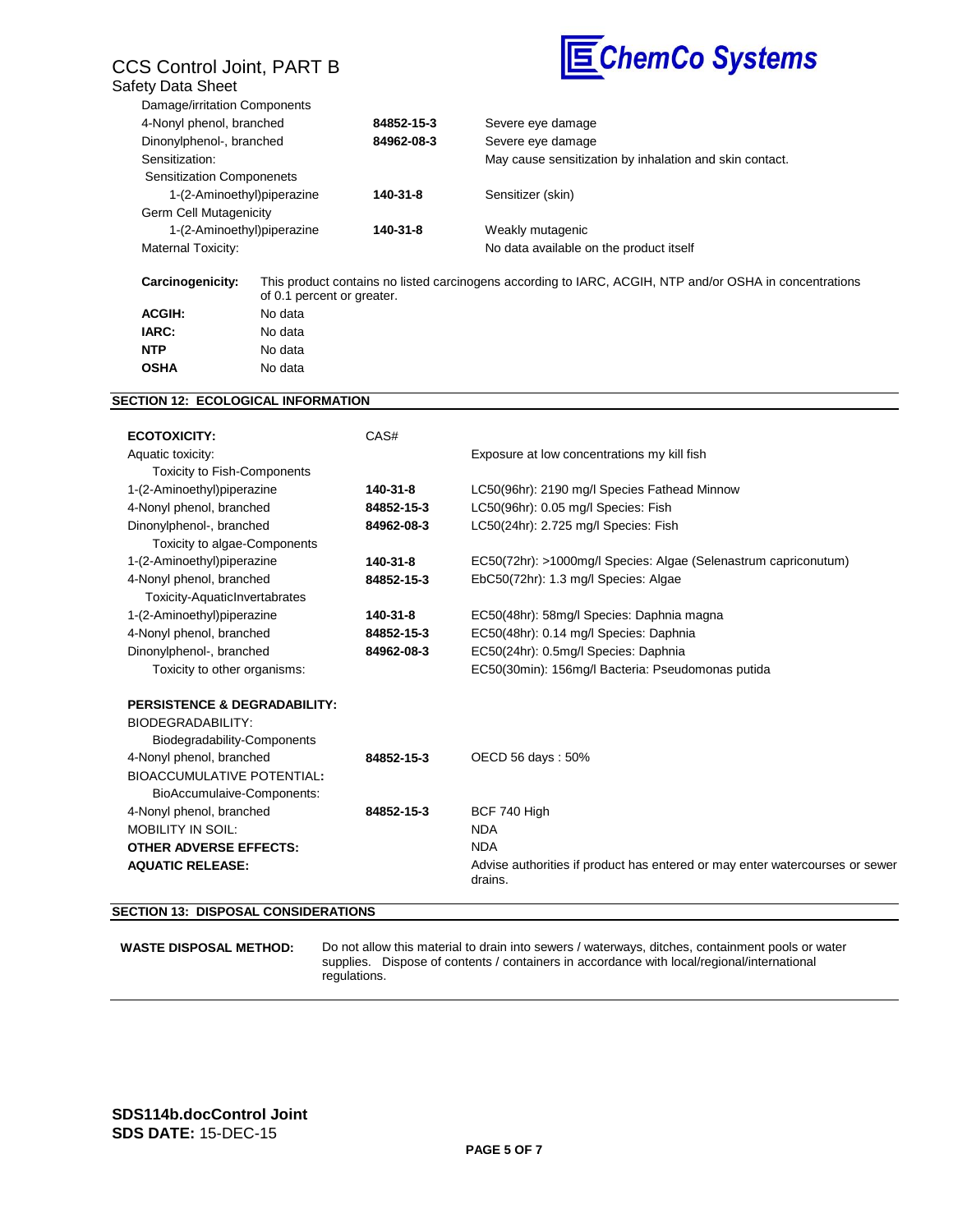## CCS Control Joint, PART B Safety Data Sheet



| 4-Nonyl phenol, branched         | 84852-15-3 | Severe eye damage                                       |
|----------------------------------|------------|---------------------------------------------------------|
| Dinonylphenol-, branched         | 84962-08-3 | Severe eye damage                                       |
| Sensitization:                   |            | May cause sensitization by inhalation and skin contact. |
| <b>Sensitization Componenets</b> |            |                                                         |
| 1-(2-Aminoethyl)piperazine       | 140-31-8   | Sensitizer (skin)                                       |
| Germ Cell Mutagenicity           |            |                                                         |
| 1-(2-Aminoethyl)piperazine       | 140-31-8   | Weakly mutagenic                                        |
| Maternal Toxicity:               |            | No data available on the product itself                 |

| Carcinogenicity: | This product contains no listed carcinogens according to IARC, ACGIH, NTP and/or OSHA in concentrations<br>of 0.1 percent or greater. |
|------------------|---------------------------------------------------------------------------------------------------------------------------------------|
| <b>ACGIH:</b>    | No data                                                                                                                               |
| IARC:            | No data                                                                                                                               |
| <b>NTP</b>       | No data                                                                                                                               |
| <b>OSHA</b>      | No data                                                                                                                               |

### **SECTION 12: ECOLOGICAL INFORMATION**

| <b>ECOTOXICITY:</b>                     | CAS#       |                                                                                         |
|-----------------------------------------|------------|-----------------------------------------------------------------------------------------|
| Aquatic toxicity:                       |            | Exposure at low concentrations my kill fish                                             |
| <b>Toxicity to Fish-Components</b>      |            |                                                                                         |
| 1-(2-Aminoethyl)piperazine              | 140-31-8   | LC50(96hr): 2190 mg/l Species Fathead Minnow                                            |
| 4-Nonyl phenol, branched                | 84852-15-3 | LC50(96hr): 0.05 mg/l Species: Fish                                                     |
| Dinonylphenol-, branched                | 84962-08-3 | LC50(24hr): 2.725 mg/l Species: Fish                                                    |
| Toxicity to algae-Components            |            |                                                                                         |
| 1-(2-Aminoethyl)piperazine              | 140-31-8   | EC50(72hr): >1000mg/l Species: Algae (Selenastrum capriconutum)                         |
| 4-Nonyl phenol, branched                | 84852-15-3 | EbC50(72hr): 1.3 mg/l Species: Algae                                                    |
| Toxicity-AquaticInvertabrates           |            |                                                                                         |
| 1-(2-Aminoethyl)piperazine              | 140-31-8   | EC50(48hr): 58mg/l Species: Daphnia magna                                               |
| 4-Nonyl phenol, branched                | 84852-15-3 | EC50(48hr): 0.14 mg/l Species: Daphnia                                                  |
| Dinonylphenol-, branched                | 84962-08-3 | EC50(24hr): 0.5mg/l Species: Daphnia                                                    |
| Toxicity to other organisms:            |            | EC50(30min): 156mg/l Bacteria: Pseudomonas putida                                       |
| <b>PERSISTENCE &amp; DEGRADABILITY:</b> |            |                                                                                         |
| <b>BIODEGRADABILITY:</b>                |            |                                                                                         |
| Biodegradability-Components             |            |                                                                                         |
| 4-Nonyl phenol, branched                | 84852-15-3 | OECD 56 days: 50%                                                                       |
| <b>BIOACCUMULATIVE POTENTIAL:</b>       |            |                                                                                         |
| BioAccumulaive-Components:              |            |                                                                                         |
| 4-Nonyl phenol, branched                | 84852-15-3 | BCF 740 High                                                                            |
| <b>MOBILITY IN SOIL:</b>                |            | <b>NDA</b>                                                                              |
| <b>OTHER ADVERSE EFFECTS:</b>           |            | <b>NDA</b>                                                                              |
| <b>AQUATIC RELEASE:</b>                 |            | Advise authorities if product has entered or may enter watercourses or sewer<br>drains. |
|                                         |            |                                                                                         |

#### **SECTION 13: DISPOSAL CONSIDERATIONS**

**WASTE DISPOSAL METHOD:** Do not allow this material to drain into sewers / waterways, ditches, containment pools or water supplies. Dispose of contents / containers in accordance with local/regional/international regulations.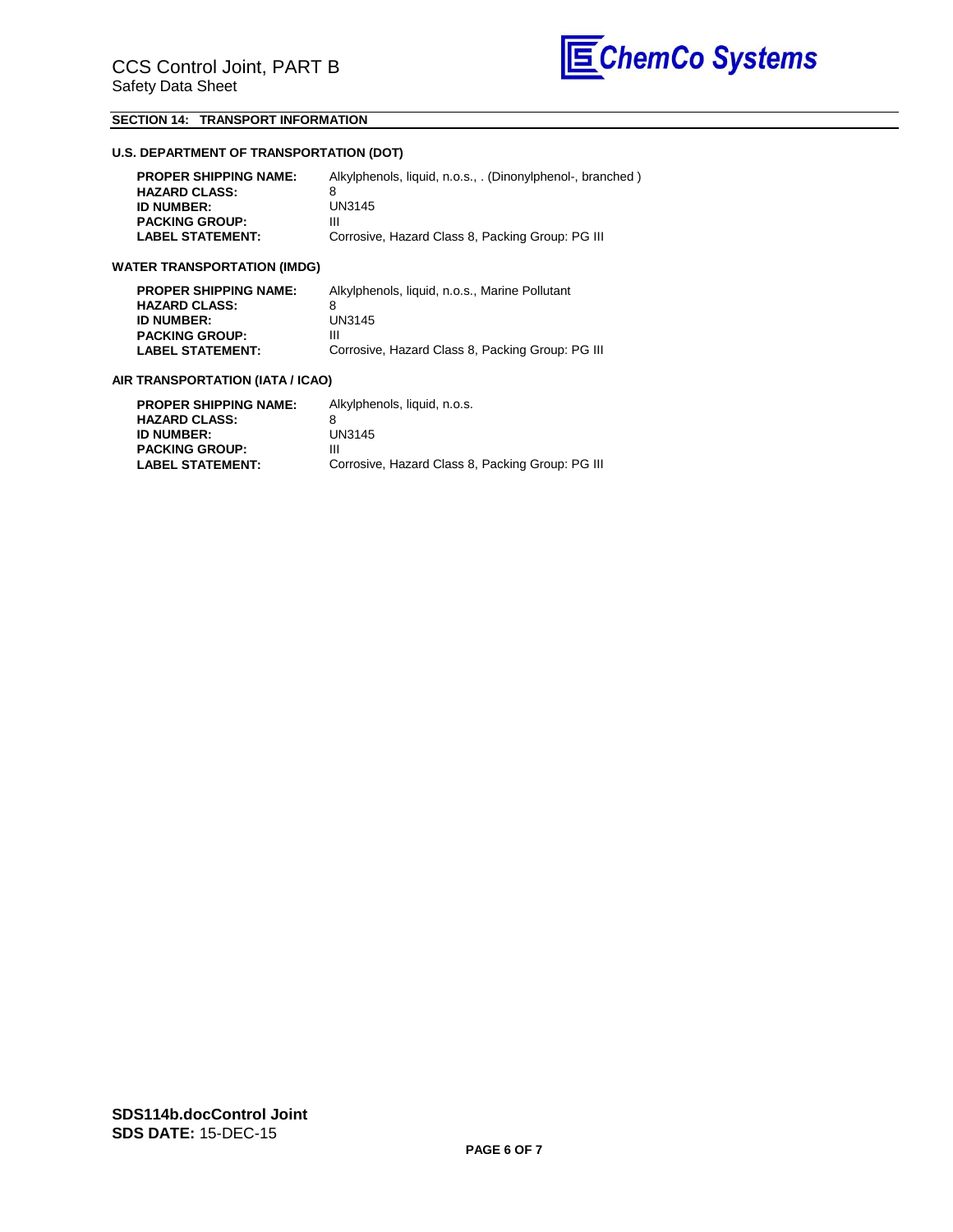

### **SECTION 14: TRANSPORT INFORMATION**

### **U.S. DEPARTMENT OF TRANSPORTATION (DOT)**

| <b>PROPER SHIPPING NAME:</b> | Alkylphenols, liquid, n.o.s., . (Dinonylphenol-, branched) |
|------------------------------|------------------------------------------------------------|
| <b>HAZARD CLASS:</b>         |                                                            |
| <b>ID NUMBER:</b>            | UN3145                                                     |
| <b>PACKING GROUP:</b>        | Ш                                                          |
| <b>LABEL STATEMENT:</b>      | Corrosive, Hazard Class 8, Packing Group: PG III           |

### **WATER TRANSPORTATION (IMDG)**

| <b>PROPER SHIPPING NAME:</b> | Alkylphenols, liquid, n.o.s., Marine Pollutant   |
|------------------------------|--------------------------------------------------|
| <b>HAZARD CLASS:</b>         |                                                  |
| <b>ID NUMBER:</b>            | UN3145                                           |
| <b>PACKING GROUP:</b>        | Ш                                                |
| <b>LABEL STATEMENT:</b>      | Corrosive, Hazard Class 8, Packing Group: PG III |
|                              |                                                  |

#### **AIR TRANSPORTATION (IATA / ICAO)**

| Alkylphenols, liquid, n.o.s.                     |
|--------------------------------------------------|
|                                                  |
| UN3145                                           |
| Ш                                                |
| Corrosive, Hazard Class 8, Packing Group: PG III |
|                                                  |